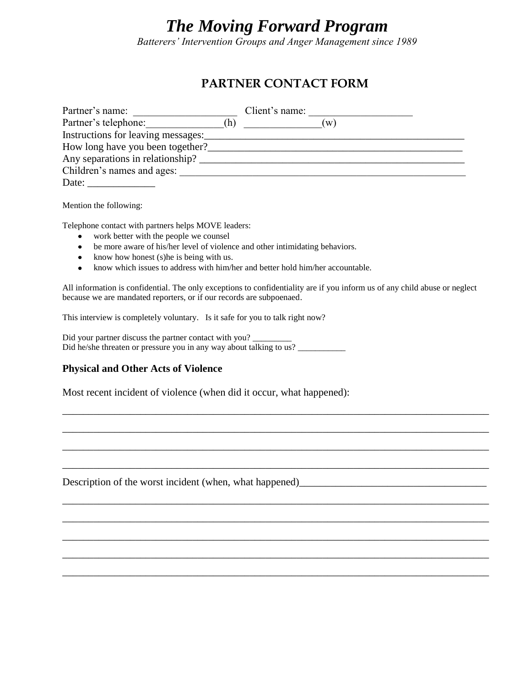# *The Moving Forward Program*

*Batterers' Intervention Groups and Anger Management since 1989*

## **PARTNER CONTACT FORM**

| Partner's name:                    |     | Client's name: |     |  |
|------------------------------------|-----|----------------|-----|--|
| Partner's telephone:               | (h) |                | (w) |  |
| Instructions for leaving messages: |     |                |     |  |
| How long have you been together?   |     |                |     |  |
| Any separations in relationship?   |     |                |     |  |
| Children's names and ages:         |     |                |     |  |
| Date:                              |     |                |     |  |

Mention the following:

Telephone contact with partners helps MOVE leaders:

- $\bullet$ work better with the people we counsel
- be more aware of his/her level of violence and other intimidating behaviors.
- know how honest (s) he is being with us.
- know which issues to address with him/her and better hold him/her accountable.

All information is confidential. The only exceptions to confidentiality are if you inform us of any child abuse or neglect because we are mandated reporters, or if our records are subpoenaed.

\_\_\_\_\_\_\_\_\_\_\_\_\_\_\_\_\_\_\_\_\_\_\_\_\_\_\_\_\_\_\_\_\_\_\_\_\_\_\_\_\_\_\_\_\_\_\_\_\_\_\_\_\_\_\_\_\_\_\_\_\_\_\_\_\_\_\_\_\_\_\_\_\_\_\_\_\_\_\_\_\_\_

\_\_\_\_\_\_\_\_\_\_\_\_\_\_\_\_\_\_\_\_\_\_\_\_\_\_\_\_\_\_\_\_\_\_\_\_\_\_\_\_\_\_\_\_\_\_\_\_\_\_\_\_\_\_\_\_\_\_\_\_\_\_\_\_\_\_\_\_\_\_\_\_\_\_\_\_\_\_\_\_\_\_

\_\_\_\_\_\_\_\_\_\_\_\_\_\_\_\_\_\_\_\_\_\_\_\_\_\_\_\_\_\_\_\_\_\_\_\_\_\_\_\_\_\_\_\_\_\_\_\_\_\_\_\_\_\_\_\_\_\_\_\_\_\_\_\_\_\_\_\_\_\_\_\_\_\_\_\_\_\_\_\_\_\_

\_\_\_\_\_\_\_\_\_\_\_\_\_\_\_\_\_\_\_\_\_\_\_\_\_\_\_\_\_\_\_\_\_\_\_\_\_\_\_\_\_\_\_\_\_\_\_\_\_\_\_\_\_\_\_\_\_\_\_\_\_\_\_\_\_\_\_\_\_\_\_\_\_\_\_\_\_\_\_\_\_\_

\_\_\_\_\_\_\_\_\_\_\_\_\_\_\_\_\_\_\_\_\_\_\_\_\_\_\_\_\_\_\_\_\_\_\_\_\_\_\_\_\_\_\_\_\_\_\_\_\_\_\_\_\_\_\_\_\_\_\_\_\_\_\_\_\_\_\_\_\_\_\_\_\_\_\_\_\_\_\_\_\_\_

\_\_\_\_\_\_\_\_\_\_\_\_\_\_\_\_\_\_\_\_\_\_\_\_\_\_\_\_\_\_\_\_\_\_\_\_\_\_\_\_\_\_\_\_\_\_\_\_\_\_\_\_\_\_\_\_\_\_\_\_\_\_\_\_\_\_\_\_\_\_\_\_\_\_\_\_\_\_\_\_\_\_

\_\_\_\_\_\_\_\_\_\_\_\_\_\_\_\_\_\_\_\_\_\_\_\_\_\_\_\_\_\_\_\_\_\_\_\_\_\_\_\_\_\_\_\_\_\_\_\_\_\_\_\_\_\_\_\_\_\_\_\_\_\_\_\_\_\_\_\_\_\_\_\_\_\_\_\_\_\_\_\_\_\_

\_\_\_\_\_\_\_\_\_\_\_\_\_\_\_\_\_\_\_\_\_\_\_\_\_\_\_\_\_\_\_\_\_\_\_\_\_\_\_\_\_\_\_\_\_\_\_\_\_\_\_\_\_\_\_\_\_\_\_\_\_\_\_\_\_\_\_\_\_\_\_\_\_\_\_\_\_\_\_\_\_\_

\_\_\_\_\_\_\_\_\_\_\_\_\_\_\_\_\_\_\_\_\_\_\_\_\_\_\_\_\_\_\_\_\_\_\_\_\_\_\_\_\_\_\_\_\_\_\_\_\_\_\_\_\_\_\_\_\_\_\_\_\_\_\_\_\_\_\_\_\_\_\_\_\_\_\_\_\_\_\_\_\_\_

This interview is completely voluntary. Is it safe for you to talk right now?

Did your partner discuss the partner contact with you? Did he/she threaten or pressure you in any way about talking to us? \_\_\_\_\_\_\_\_\_\_\_

### **Physical and Other Acts of Violence**

Most recent incident of violence (when did it occur, what happened):

Description of the worst incident (when, what happened)\_\_\_\_\_\_\_\_\_\_\_\_\_\_\_\_\_\_\_\_\_\_\_\_\_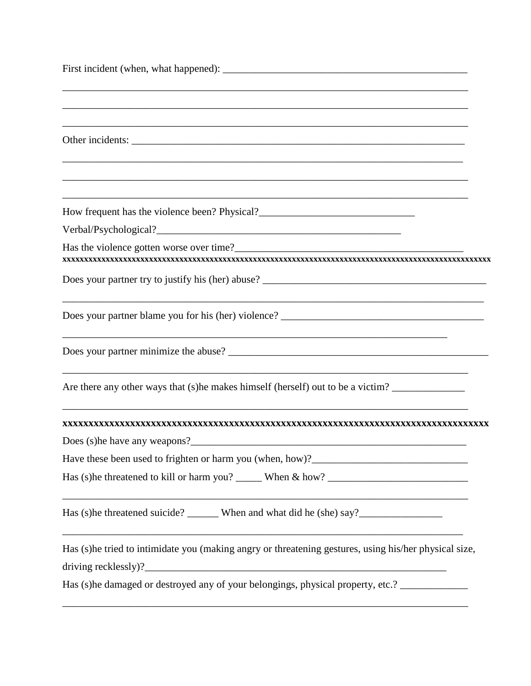| How frequent has the violence been? Physical?___________________________________                      |
|-------------------------------------------------------------------------------------------------------|
|                                                                                                       |
|                                                                                                       |
|                                                                                                       |
|                                                                                                       |
|                                                                                                       |
| Are there any other ways that (s) he makes himself (herself) out to be a victim?                      |
|                                                                                                       |
|                                                                                                       |
|                                                                                                       |
|                                                                                                       |
|                                                                                                       |
| Has (s)he tried to intimidate you (making angry or threatening gestures, using his/her physical size, |
|                                                                                                       |
| Has (s) he damaged or destroyed any of your belongings, physical property, etc.? __________________   |
|                                                                                                       |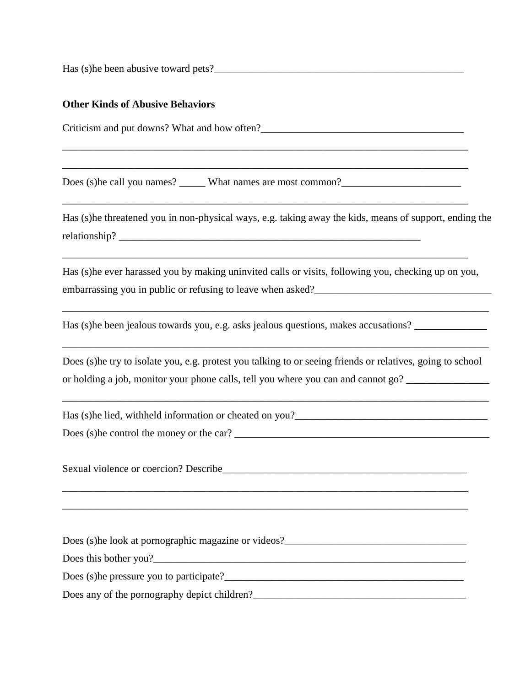Has (s)he been abusive toward pets?\_\_\_\_\_\_\_\_\_\_\_\_\_\_\_\_\_\_\_\_\_\_\_\_\_\_\_\_\_\_\_\_\_\_\_\_\_\_\_\_\_\_\_\_\_\_\_\_

### **Other Kinds of Abusive Behaviors**

Criticism and put downs? What and how often?\_\_\_\_\_\_\_\_\_\_\_\_\_\_\_\_\_\_\_\_\_\_\_\_\_\_\_\_\_\_\_\_\_\_\_\_\_\_\_ \_\_\_\_\_\_\_\_\_\_\_\_\_\_\_\_\_\_\_\_\_\_\_\_\_\_\_\_\_\_\_\_\_\_\_\_\_\_\_\_\_\_\_\_\_\_\_\_\_\_\_\_\_\_\_\_\_\_\_\_\_\_\_\_\_\_\_\_\_\_\_\_\_\_\_\_\_\_ \_\_\_\_\_\_\_\_\_\_\_\_\_\_\_\_\_\_\_\_\_\_\_\_\_\_\_\_\_\_\_\_\_\_\_\_\_\_\_\_\_\_\_\_\_\_\_\_\_\_\_\_\_\_\_\_\_\_\_\_\_\_\_\_\_\_\_\_\_\_\_\_\_\_\_\_\_\_ Does (s)he call you names? What names are most common? \_\_\_\_\_\_\_\_\_\_\_\_\_\_\_\_\_\_\_\_\_\_\_\_\_\_\_\_\_\_\_\_\_\_\_\_\_\_\_\_\_\_\_\_\_\_\_\_\_\_\_\_\_\_\_\_\_\_\_\_\_\_\_\_\_\_\_\_\_\_\_\_\_\_\_\_\_\_ Has (s)he threatened you in non-physical ways, e.g. taking away the kids, means of support, ending the relationship? \_\_\_\_\_\_\_\_\_\_\_\_\_\_\_\_\_\_\_\_\_\_\_\_\_\_\_\_\_\_\_\_\_\_\_\_\_\_\_\_\_\_\_\_\_\_\_\_\_\_\_\_\_\_\_\_\_\_\_\_\_\_\_\_\_\_\_\_\_\_\_\_\_\_\_\_\_\_ Has (s)he ever harassed you by making uninvited calls or visits, following you, checking up on you, embarrassing you in public or refusing to leave when asked?\_\_\_\_\_\_\_\_\_\_\_\_\_\_\_\_\_\_\_\_\_\_\_\_\_\_\_\_\_\_\_\_\_\_ \_\_\_\_\_\_\_\_\_\_\_\_\_\_\_\_\_\_\_\_\_\_\_\_\_\_\_\_\_\_\_\_\_\_\_\_\_\_\_\_\_\_\_\_\_\_\_\_\_\_\_\_\_\_\_\_\_\_\_\_\_\_\_\_\_\_\_\_\_\_\_\_\_\_\_\_\_\_\_\_\_\_ Has (s) he been jealous towards you, e.g. asks jealous questions, makes accusations? \_\_\_\_\_\_\_\_\_\_\_\_\_\_\_\_\_\_\_\_\_\_\_\_\_\_\_\_\_\_\_\_\_\_\_\_\_\_\_\_\_\_\_\_\_\_\_\_\_\_\_\_\_\_\_\_\_\_\_\_\_\_\_\_\_\_\_\_\_\_\_\_\_\_\_\_\_\_\_\_\_\_ Does (s)he try to isolate you, e.g. protest you talking to or seeing friends or relatives, going to school or holding a job, monitor your phone calls, tell you where you can and cannot go? \_\_\_\_\_\_\_\_\_\_\_\_\_\_\_\_\_\_\_\_\_\_\_\_\_\_\_\_\_\_\_\_\_\_\_\_\_\_\_\_\_\_\_\_\_\_\_\_\_\_\_\_\_\_\_\_\_\_\_\_\_\_\_\_\_\_\_\_\_\_\_\_\_\_\_\_\_\_\_\_\_\_ Has (s) he lied, with held information or cheated on you? Does (s)he control the money or the car? \_\_\_\_\_\_\_\_\_\_\_\_\_\_\_\_\_\_\_\_\_\_\_\_\_\_\_\_\_\_\_\_\_\_\_\_\_\_\_\_\_\_\_\_\_\_\_\_\_ Sexual violence or coercion? Describe\_\_\_\_\_\_\_\_\_\_\_\_\_\_\_\_\_\_\_\_\_\_\_\_\_\_\_\_\_\_\_\_\_\_\_\_\_\_\_\_\_\_\_\_\_\_\_ \_\_\_\_\_\_\_\_\_\_\_\_\_\_\_\_\_\_\_\_\_\_\_\_\_\_\_\_\_\_\_\_\_\_\_\_\_\_\_\_\_\_\_\_\_\_\_\_\_\_\_\_\_\_\_\_\_\_\_\_\_\_\_\_\_\_\_\_\_\_\_\_\_\_\_\_\_\_ Does (s)he look at pornographic magazine or videos? Does this bother you? Does (s)he pressure you to participate?\_\_\_\_\_\_\_\_\_\_\_\_\_\_\_\_\_\_\_\_\_\_\_\_\_\_\_\_\_\_\_\_\_\_\_\_\_\_\_\_\_\_\_\_\_\_ Does any of the pornography depict children?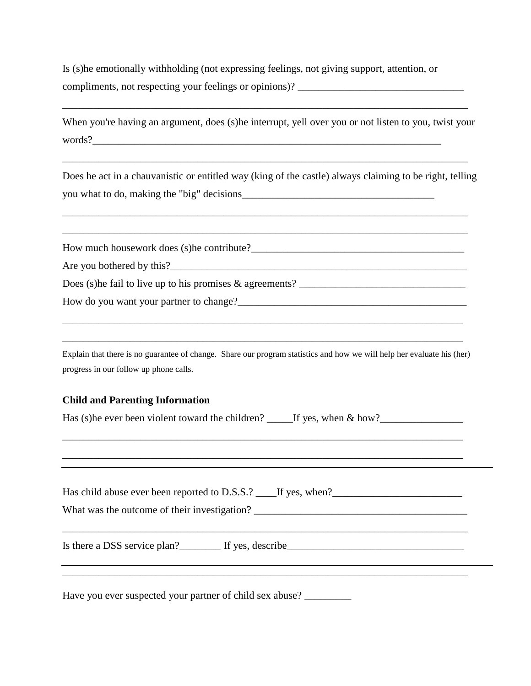Is (s)he emotionally withholding (not expressing feelings, not giving support, attention, or compliments, not respecting your feelings or opinions)? \_\_\_\_\_\_\_\_\_\_\_\_\_\_\_\_\_\_\_\_\_\_\_\_\_\_\_\_\_\_\_\_

When you're having an argument, does (s)he interrupt, yell over you or not listen to you, twist your words?\_\_\_\_\_\_\_\_\_\_\_\_\_\_\_\_\_\_\_\_\_\_\_\_\_\_\_\_\_\_\_\_\_\_\_\_\_\_\_\_\_\_\_\_\_\_\_\_\_\_\_\_\_\_\_\_\_\_\_\_\_\_\_\_\_\_\_

Does he act in a chauvanistic or entitled way (king of the castle) always claiming to be right, telling you what to do, making the "big" decisions\_\_\_\_\_\_\_\_\_\_\_\_\_\_\_\_\_\_\_\_\_\_\_\_\_\_\_\_\_\_\_\_\_\_\_\_\_

| progress in our follow up phone calls. | Explain that there is no guarantee of change. Share our program statistics and how we will help her evaluate his (her) |
|----------------------------------------|------------------------------------------------------------------------------------------------------------------------|
| <b>Child and Parenting Information</b> |                                                                                                                        |
|                                        | Has (s) he ever been violent toward the children? _______If yes, when & how?________________________                   |
|                                        |                                                                                                                        |
|                                        |                                                                                                                        |
|                                        | ,我们也不能在这里的时候,我们也不能在这里的时候,我们也不能会在这里的时候,我们也不能会在这里的时候,我们也不能会在这里的时候,我们也不能会在这里的时候,我们也不                                      |

Have you ever suspected your partner of child sex abuse? \_\_\_\_\_\_\_\_\_\_\_\_\_\_\_\_\_\_\_\_\_\_\_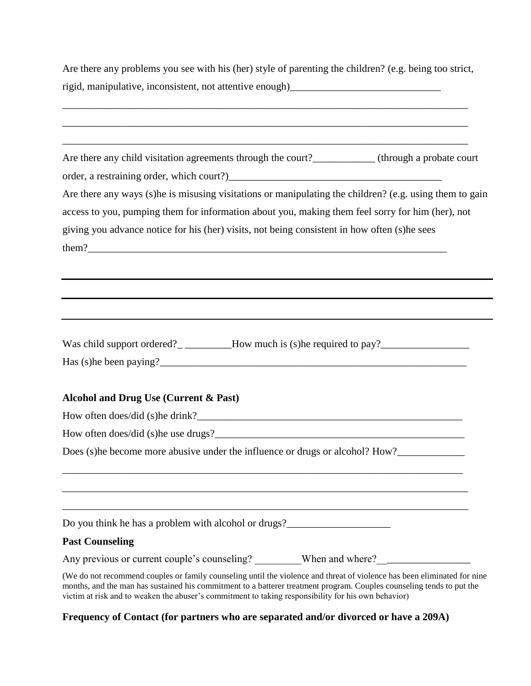Are there any problems you see with his (her) style of parenting the children? (e.g. being too strict, rigid, manipulative, inconsistent, not attentive enough)\_\_\_\_\_\_\_\_\_\_\_\_\_\_\_\_\_\_\_\_\_\_\_\_\_\_\_\_\_

| Are there any child visitation agreements through the court?___________(through a probate court                                                                                                                                                                                                                                                          |
|----------------------------------------------------------------------------------------------------------------------------------------------------------------------------------------------------------------------------------------------------------------------------------------------------------------------------------------------------------|
|                                                                                                                                                                                                                                                                                                                                                          |
| Are there any ways (s)he is misusing visitations or manipulating the children? (e.g. using them to gain                                                                                                                                                                                                                                                  |
| access to you, pumping them for information about you, making them feel sorry for him (her), not                                                                                                                                                                                                                                                         |
| giving you advance notice for his (her) visits, not being consistent in how often (s)he sees                                                                                                                                                                                                                                                             |
|                                                                                                                                                                                                                                                                                                                                                          |
|                                                                                                                                                                                                                                                                                                                                                          |
|                                                                                                                                                                                                                                                                                                                                                          |
|                                                                                                                                                                                                                                                                                                                                                          |
|                                                                                                                                                                                                                                                                                                                                                          |
|                                                                                                                                                                                                                                                                                                                                                          |
| Was child support ordered?________How much is (s)he required to pay?_____________                                                                                                                                                                                                                                                                        |
|                                                                                                                                                                                                                                                                                                                                                          |
| Alcohol and Drug Use (Current & Past)                                                                                                                                                                                                                                                                                                                    |
|                                                                                                                                                                                                                                                                                                                                                          |
|                                                                                                                                                                                                                                                                                                                                                          |
|                                                                                                                                                                                                                                                                                                                                                          |
| Does (s) he become more abusive under the influence or drugs or alcohol? How?                                                                                                                                                                                                                                                                            |
|                                                                                                                                                                                                                                                                                                                                                          |
|                                                                                                                                                                                                                                                                                                                                                          |
|                                                                                                                                                                                                                                                                                                                                                          |
| Do you think he has a problem with alcohol or drugs?                                                                                                                                                                                                                                                                                                     |
| <b>Past Counseling</b>                                                                                                                                                                                                                                                                                                                                   |
|                                                                                                                                                                                                                                                                                                                                                          |
| (We do not recommend couples or family counseling until the violence and threat of violence has been eliminated for nine<br>months, and the man has sustained his commitment to a batterer treatment program. Couples counseling tends to put the<br>victim at risk and to weaken the abuser's commitment to taking responsibility for his own behavior) |

**Frequency of Contact (for partners who are separated and/or divorced or have a 209A)**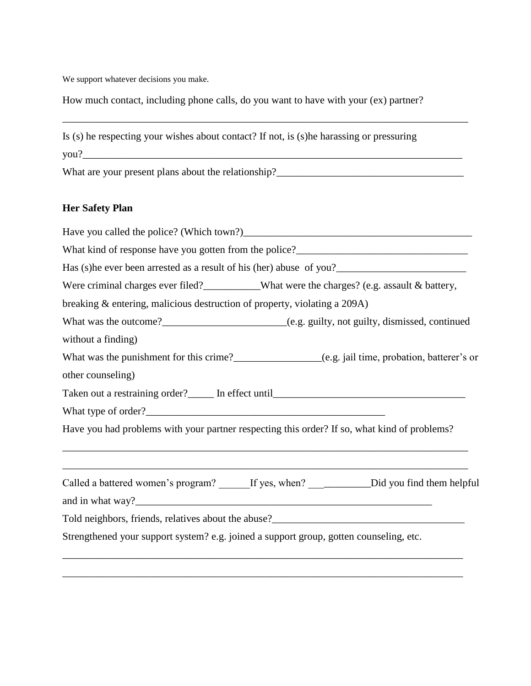We support whatever decisions you make.

How much contact, including phone calls, do you want to have with your (ex) partner?

\_\_\_\_\_\_\_\_\_\_\_\_\_\_\_\_\_\_\_\_\_\_\_\_\_\_\_\_\_\_\_\_\_\_\_\_\_\_\_\_\_\_\_\_\_\_\_\_\_\_\_\_\_\_\_\_\_\_\_\_\_\_\_\_\_\_\_\_\_\_\_\_\_\_\_\_\_\_

| Is (s) he respecting your wishes about contact? If not, is (s) he harassing or pressuring                                                                                                                                            |
|--------------------------------------------------------------------------------------------------------------------------------------------------------------------------------------------------------------------------------------|
|                                                                                                                                                                                                                                      |
| What are your present plans about the relationship?<br><u>Letting</u> the subsequence of the set of the set of the set of the set of the set of the set of the set of the set of the set of the set of the set of the set of the set |
| <b>Her Safety Plan</b>                                                                                                                                                                                                               |
|                                                                                                                                                                                                                                      |
|                                                                                                                                                                                                                                      |
|                                                                                                                                                                                                                                      |
| Were criminal charges ever filed?__________What were the charges? (e.g. assault & battery,                                                                                                                                           |
| breaking & entering, malicious destruction of property, violating a 209A)                                                                                                                                                            |
|                                                                                                                                                                                                                                      |
| without a finding)                                                                                                                                                                                                                   |
|                                                                                                                                                                                                                                      |
| other counseling)                                                                                                                                                                                                                    |
|                                                                                                                                                                                                                                      |
|                                                                                                                                                                                                                                      |
| Have you had problems with your partner respecting this order? If so, what kind of problems?                                                                                                                                         |
| Called a battered women's program? ______If yes, when? ______________Did you find them helpful                                                                                                                                       |
|                                                                                                                                                                                                                                      |
|                                                                                                                                                                                                                                      |
| Strengthened your support system? e.g. joined a support group, gotten counseling, etc.                                                                                                                                               |
|                                                                                                                                                                                                                                      |

\_\_\_\_\_\_\_\_\_\_\_\_\_\_\_\_\_\_\_\_\_\_\_\_\_\_\_\_\_\_\_\_\_\_\_\_\_\_\_\_\_\_\_\_\_\_\_\_\_\_\_\_\_\_\_\_\_\_\_\_\_\_\_\_\_\_\_\_\_\_\_\_\_\_\_\_\_